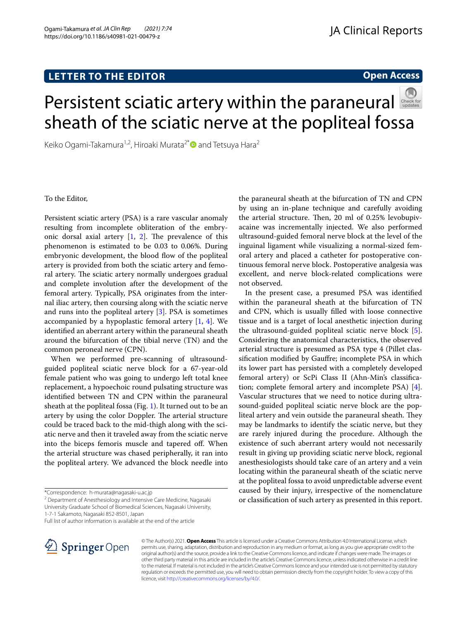## **LETTER TO THE EDITOR**

**Open Access**

# Persistentsciatic artery within the paraneural sheath of the sciatic nerve at the popliteal fossa

Keiko Ogami-Takamura<sup>1,2</sup>, Hiroaki Murata<sup>2[\\*](http://orcid.org/0000-0002-6185-5059)</sup> and Tetsuya Hara<sup>2</sup>

#### To the Editor,

Persistent sciatic artery (PSA) is a rare vascular anomaly resulting from incomplete obliteration of the embryonic dorsal axial artery  $[1, 2]$  $[1, 2]$  $[1, 2]$  $[1, 2]$ . The prevalence of this phenomenon is estimated to be 0.03 to 0.06%. During embryonic development, the blood flow of the popliteal artery is provided from both the sciatic artery and femoral artery. The sciatic artery normally undergoes gradual and complete involution after the development of the femoral artery. Typically, PSA originates from the internal iliac artery, then coursing along with the sciatic nerve and runs into the popliteal artery [\[3](#page-1-2)]. PSA is sometimes accompanied by a hypoplastic femoral artery  $[1, 4]$  $[1, 4]$  $[1, 4]$ . We identifed an aberrant artery within the paraneural sheath around the bifurcation of the tibial nerve (TN) and the common peroneal nerve (CPN).

When we performed pre-scanning of ultrasoundguided popliteal sciatic nerve block for a 67-year-old female patient who was going to undergo left total knee replacement, a hypoechoic round pulsating structure was identifed between TN and CPN within the paraneural sheath at the popliteal fossa (Fig. [1](#page-1-4)). It turned out to be an artery by using the color Doppler. The arterial structure could be traced back to the mid-thigh along with the sciatic nerve and then it traveled away from the sciatic nerve into the biceps femoris muscle and tapered of. When the arterial structure was chased peripherally, it ran into the popliteal artery. We advanced the block needle into

<sup>2</sup> Department of Anesthesiology and Intensive Care Medicine, Nagasaki University Graduate School of Biomedical Sciences, Nagasaki University, 1‑7‑1 Sakamoto, Nagasaki 852‑8501, Japan

Full list of author information is available at the end of the article



© The Author(s) 2021. **Open Access** This article is licensed under a Creative Commons Attribution 4.0 International License, which permits use, sharing, adaptation, distribution and reproduction in any medium or format, as long as you give appropriate credit to the original author(s) and the source, provide a link to the Creative Commons licence, and indicate if changes were made. The images or other third party material in this article are included in the article's Creative Commons licence, unless indicated otherwise in a credit line to the material. If material is not included in the article's Creative Commons licence and your intended use is not permitted by statutory regulation or exceeds the permitted use, you will need to obtain permission directly from the copyright holder. To view a copy of this licence, visit [http://creativecommons.org/licenses/by/4.0/.](http://creativecommons.org/licenses/by/4.0/)

the paraneural sheath at the bifurcation of TN and CPN by using an in-plane technique and carefully avoiding the arterial structure. Then, 20 ml of 0.25% levobupivacaine was incrementally injected. We also performed ultrasound-guided femoral nerve block at the level of the inguinal ligament while visualizing a normal-sized femoral artery and placed a catheter for postoperative continuous femoral nerve block. Postoperative analgesia was excellent, and nerve block-related complications were not observed.

In the present case, a presumed PSA was identifed within the paraneural sheath at the bifurcation of TN and CPN, which is usually flled with loose connective tissue and is a target of local anesthetic injection during the ultrasound-guided popliteal sciatic nerve block [\[5](#page-1-5)]. Considering the anatomical characteristics, the observed arterial structure is presumed as PSA type 4 (Pillet classifcation modifed by Gaufre; incomplete PSA in which its lower part has persisted with a completely developed femoral artery) or ScPi Class II (Ahn-Min's classifcation; complete femoral artery and incomplete PSA) [\[4](#page-1-3)]. Vascular structures that we need to notice during ultrasound-guided popliteal sciatic nerve block are the popliteal artery and vein outside the paraneural sheath. They may be landmarks to identify the sciatic nerve, but they are rarely injured during the procedure. Although the existence of such aberrant artery would not necessarily result in giving up providing sciatic nerve block, regional anesthesiologists should take care of an artery and a vein locating within the paraneural sheath of the sciatic nerve at the popliteal fossa to avoid unpredictable adverse event caused by their injury, irrespective of the nomenclature or classifcation of such artery as presented in this report.

<sup>\*</sup>Correspondence: h-murata@nagasaki-u.ac.jp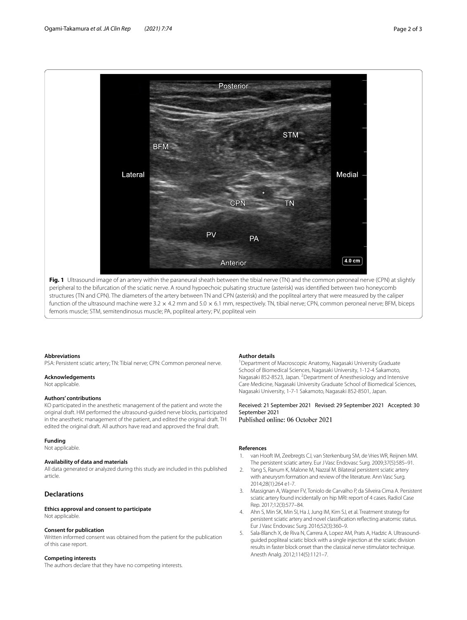

<span id="page-1-4"></span>peripheral to the bifurcation of the sciatic nerve. A round hypoechoic pulsating structure (asterisk) was identifed between two honeycomb structures (TN and CPN). The diameters of the artery between TN and CPN (asterisk) and the popliteal artery that were measured by the caliper function of the ultrasound machine were 3.2 × 4.2 mm and 5.0 × 6.1 mm, respectively. TN, tibial nerve; CPN, common peroneal nerve; BFM, biceps femoris muscle; STM, semitendinosus muscle; PA, popliteal artery; PV, popliteal vein

#### **Abbreviations**

PSA: Persistent sciatic artery; TN: Tibial nerve; CPN: Common peroneal nerve.

#### **Acknowledgements**

Not applicable.

#### **Authors' contributions**

KO participated in the anesthetic management of the patient and wrote the original draft. HM performed the ultrasound-guided nerve blocks, participated in the anesthetic management of the patient, and edited the original draft. TH edited the original draft. All authors have read and approved the fnal draft.

#### **Funding**

Not applicable.

### **Availability of data and materials**

All data generated or analyzed during this study are included in this published article.

#### **Declarations**

#### **Ethics approval and consent to participate** Not applicable.

#### **Consent for publication**

Written informed consent was obtained from the patient for the publication of this case report.

#### **Competing interests**

The authors declare that they have no competing interests.

#### **Author details**

<sup>1</sup> Department of Macroscopic Anatomy, Nagasaki University Graduate School of Biomedical Sciences, Nagasaki University, 1‑12‑4 Sakamoto, Nagasaki 852-8523, Japan. <sup>2</sup> Department of Anesthesiology and Intensive Care Medicine, Nagasaki University Graduate School of Biomedical Sciences, Nagasaki University, 1‑7‑1 Sakamoto, Nagasaki 852‑8501, Japan.

Received: 21 September 2021 Revised: 29 September 2021 Accepted: 30 September 2021<br>Published online: 06 October 2021

#### **References**

- <span id="page-1-0"></span>1. van Hooft IM, Zeebregts CJ, van Sterkenburg SM, de Vries WR, Reijnen MM. The persistent sciatic artery. Eur J Vasc Endovasc Surg. 2009;37(5):585–91.
- <span id="page-1-1"></span>2. Yang S, Ranum K, Malone M, Nazzal M. Bilateral persistent sciatic artery with aneurysm formation and review of the literature. Ann Vasc Surg. 2014;28(1):264 e1-7.
- <span id="page-1-2"></span>3. Massignan A, Wagner FV, Toniolo de Carvalho P, da Silveira Cima A. Persistent sciatic artery found incidentally on hip MRI: report of 4 cases. Radiol Case Rep. 2017;12(3):577–84.
- <span id="page-1-3"></span>4. Ahn S, Min SK, Min SI, Ha J, Jung IM, Kim SJ, et al. Treatment strategy for persistent sciatic artery and novel classifcation refecting anatomic status. Eur J Vasc Endovasc Surg. 2016;52(3):360–9.
- <span id="page-1-5"></span>5. Sala-Blanch X, de Riva N, Carrera A, Lopez AM, Prats A, Hadzic A. Ultrasoundguided popliteal sciatic block with a single injection at the sciatic division results in faster block onset than the classical nerve stimulator technique. Anesth Analg. 2012;114(5):1121–7.